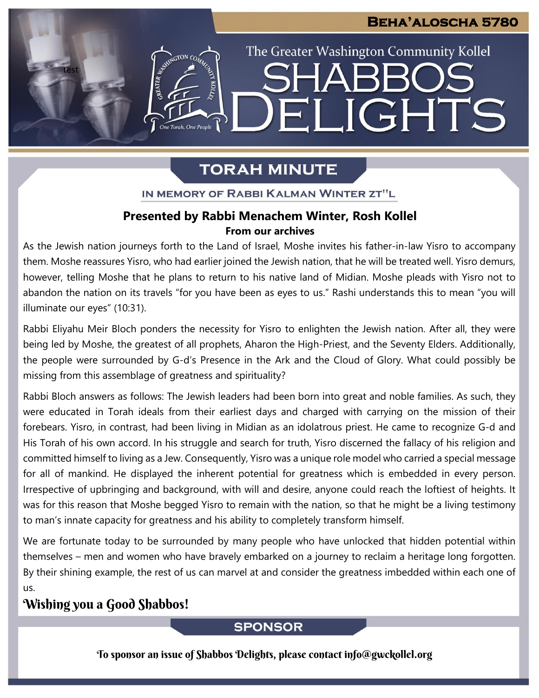The Greater Washington Community Kollel

ELIGHTS

# **TORAH MINUTE**

IN MEMORY OF RABBI KALMAN WINTER ZT"L

### **Presented by Rabbi Menachem Winter, Rosh Kollel From our archives**

As the Jewish nation journeys forth to the Land of Israel, Moshe invites his father-in-law Yisro to accompany them. Moshe reassures Yisro, who had earlier joined the Jewish nation, that he will be treated well. Yisro demurs, however, telling Moshe that he plans to return to his native land of Midian. Moshe pleads with Yisro not to abandon the nation on its travels "for you have been as eyes to us." Rashi understands this to mean "you will illuminate our eyes" (10:31).

Rabbi Eliyahu Meir Bloch ponders the necessity for Yisro to enlighten the Jewish nation. After all, they were being led by Moshe, the greatest of all prophets, Aharon the High-Priest, and the Seventy Elders. Additionally, the people were surrounded by G-d's Presence in the Ark and the Cloud of Glory. What could possibly be missing from this assemblage of greatness and spirituality?

Rabbi Bloch answers as follows: The Jewish leaders had been born into great and noble families. As such, they were educated in Torah ideals from their earliest days and charged with carrying on the mission of their forebears. Yisro, in contrast, had been living in Midian as an idolatrous priest. He came to recognize G-d and His Torah of his own accord. In his struggle and search for truth, Yisro discerned the fallacy of his religion and committed himself to living as a Jew. Consequently, Yisro was a unique role model who carried a special message for all of mankind. He displayed the inherent potential for greatness which is embedded in every person. Irrespective of upbringing and background, with will and desire, anyone could reach the loftiest of heights. It was for this reason that Moshe begged Yisro to remain with the nation, so that he might be a living testimony to man's innate capacity for greatness and his ability to completely transform himself.

We are fortunate today to be surrounded by many people who have unlocked that hidden potential within themselves – men and women who have bravely embarked on a journey to reclaim a heritage long forgotten. By their shining example, the rest of us can marvel at and consider the greatness imbedded within each one of us.

## Wishing you a Good Shabbos!

test

ASSIMIGTON CO

### **SPONSOR**

To sponsor an issue of Shabbos Delights, please contact info@gwckollel.org